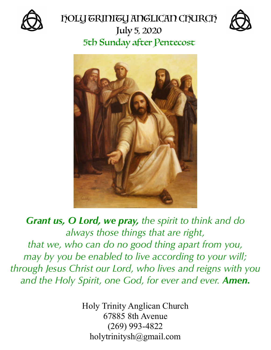

# **FOLY GRINIGY ANGLICAN CFURCH** July 5, 2020 5th Sunday after Pentecost





*Grant us, O Lord, we pray, the spirit to think and do always those things that are right, that we, who can do no good thing apart from you, may by you be enabled to live according to your will; through Jesus Christ our Lord, who lives and reigns with you and the Holy Spirit, one God, for ever and ever. Amen.*

> Holy Trinity Anglican Church 67885 8th Avenue (269) 993-4822 [holytrinitysh@gmail.com](mailto:holytrinitysh@gmail.com)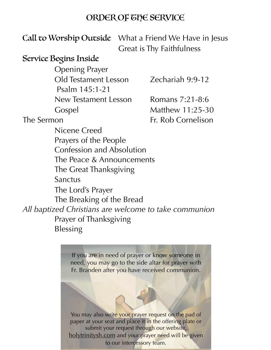### ORDER OF THE SERVICE

### Call to Worship Outside What a Friend We Have in Jesus Great is Thy Faithfulness

#### Service Begins Inside

Opening Prayer Old Testament Lesson Zechariah 9:9-12 Psalm 145:1-21 New Testament Lesson Romans 7:21-8:6 Gospel Matthew 11:25-30

The Sermon Fr. Rob Cornelison

 Nicene Creed Prayers of the People Confession and Absolution The Peace & Announcements The Great Thanksgiving Sanctus The Lord's Prayer The Breaking of the Bread *All baptized Christians are welcome to take communion*  Prayer of Thanksgiving Blessing

> If you are in need of prayer or know someone in need, you may go to the side altar for prayer with Fr. Branden after you have received communion.

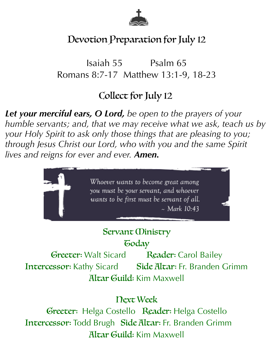

## Devotion Preparation for July 12

Isaiah 55 Psalm 65 Romans 8:7-17 Matthew 13:1-9, 18-23

# Collect for July 12

*Let your merciful ears, O Lord, be open to the prayers of your humble servants; and, that we may receive what we ask, teach us by your Holy Spirit to ask only those things that are pleasing to you; through Jesus Christ our Lord, who with you and the same Spirit lives and reigns for ever and ever. Amen.* 



### Servant *(Dinistry* **Goday**

Greeter: Walt Sicard Reader: Carol Bailey Intercessor: Kathy Sicard Side Altar: Fr. Branden Grimm Altar Guild: Kim Maxwell

### Next Week

Greeter: Helga Costello Reader: Helga Costello Intercessor: Todd Brugh Side Altar: Fr. Branden Grimm Altar Guild: Kim Maxwell